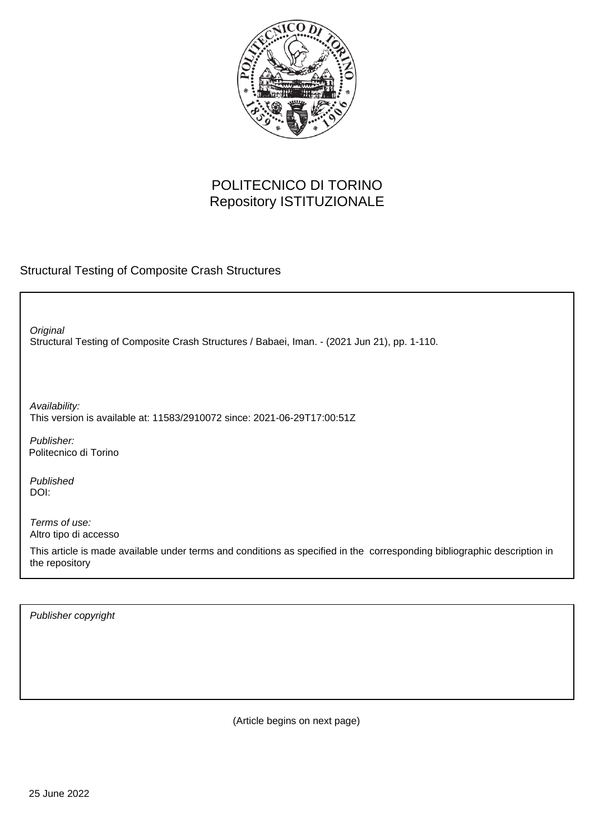

## POLITECNICO DI TORINO Repository ISTITUZIONALE

#### Structural Testing of Composite Crash Structures

Structural Testing of Composite Crash Structures / Babaei, Iman. - (2021 Jun 21), pp. 1-110. **Original** 

Availability: This version is available at: 11583/2910072 since: 2021-06-29T17:00:51Z

Publisher: Politecnico di Torino

Published DOI:

Terms of use: Altro tipo di accesso

This article is made available under terms and conditions as specified in the corresponding bibliographic description in the repository

Publisher copyright

(Article begins on next page)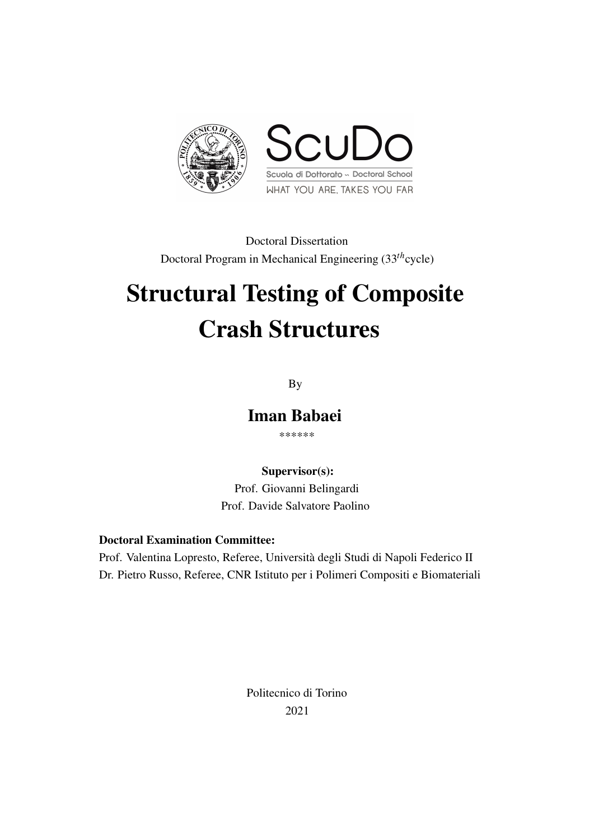

Doctoral Dissertation Doctoral Program in Mechanical Engineering (33*th*cycle)

# Structural Testing of Composite Crash Structures

By

Iman Babaei

\*\*\*\*\*\*

Supervisor(s):

Prof. Giovanni Belingardi Prof. Davide Salvatore Paolino

#### Doctoral Examination Committee:

Prof. Valentina Lopresto, Referee, Università degli Studi di Napoli Federico II Dr. Pietro Russo, Referee, CNR Istituto per i Polimeri Compositi e Biomateriali

> Politecnico di Torino 2021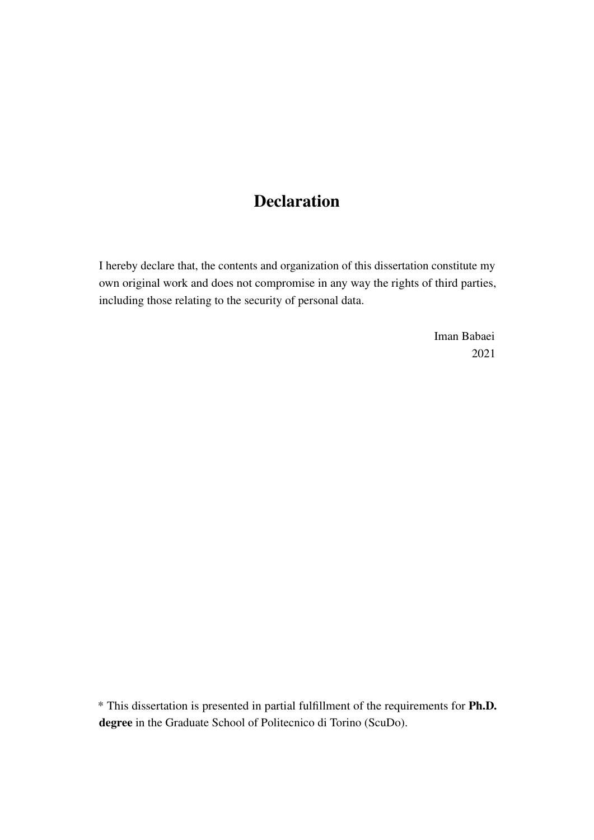# Declaration

I hereby declare that, the contents and organization of this dissertation constitute my own original work and does not compromise in any way the rights of third parties, including those relating to the security of personal data.

> Iman Babaei 2021

\* This dissertation is presented in partial fulfillment of the requirements for Ph.D. degree in the Graduate School of Politecnico di Torino (ScuDo).